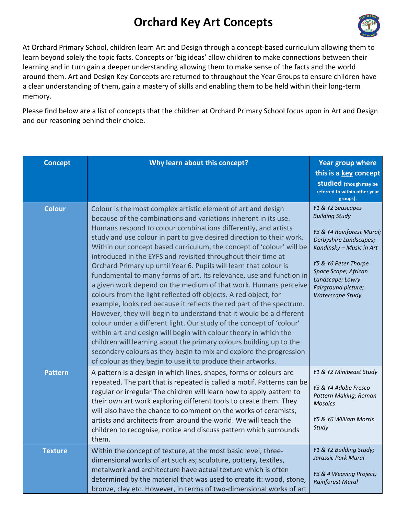## **Orchard Key Art Concepts**



At Orchard Primary School, children learn Art and Design through a concept-based curriculum allowing them to learn beyond solely the topic facts. Concepts or 'big ideas' allow children to make connections between their learning and in turn gain a deeper understanding allowing them to make sense of the facts and the world around them. Art and Design Key Concepts are returned to throughout the Year Groups to ensure children have a clear understanding of them, gain a mastery of skills and enabling them to be held within their long-term memory.

Please find below are a list of concepts that the children at Orchard Primary School focus upon in Art and Design and our reasoning behind their choice.

| <b>Concept</b> | Why learn about this concept?                                                                                                                                                                                                                                                                                                                                                                                                                                                                                                                                                                                                                                                                                                                                                                                                                                                                                                                                                                                                                                                                                                                                                                                   | <b>Year group where</b><br>this is a key concept<br><b>Studied</b> (though may be<br>referred to within other year<br>groups).                                                                                                                      |
|----------------|-----------------------------------------------------------------------------------------------------------------------------------------------------------------------------------------------------------------------------------------------------------------------------------------------------------------------------------------------------------------------------------------------------------------------------------------------------------------------------------------------------------------------------------------------------------------------------------------------------------------------------------------------------------------------------------------------------------------------------------------------------------------------------------------------------------------------------------------------------------------------------------------------------------------------------------------------------------------------------------------------------------------------------------------------------------------------------------------------------------------------------------------------------------------------------------------------------------------|-----------------------------------------------------------------------------------------------------------------------------------------------------------------------------------------------------------------------------------------------------|
| <b>Colour</b>  | Colour is the most complex artistic element of art and design<br>because of the combinations and variations inherent in its use.<br>Humans respond to colour combinations differently, and artists<br>study and use colour in part to give desired direction to their work.<br>Within our concept based curriculum, the concept of 'colour' will be<br>introduced in the EYFS and revisited throughout their time at<br>Orchard Primary up until Year 6. Pupils will learn that colour is<br>fundamental to many forms of art. Its relevance, use and function in<br>a given work depend on the medium of that work. Humans perceive<br>colours from the light reflected off objects. A red object, for<br>example, looks red because it reflects the red part of the spectrum.<br>However, they will begin to understand that it would be a different<br>colour under a different light. Our study of the concept of 'colour'<br>within art and design will begin with colour theory in which the<br>children will learning about the primary colours building up to the<br>secondary colours as they begin to mix and explore the progression<br>of colour as they begin to use it to produce their artworks. | Y1 & Y2 Seascapes<br><b>Building Study</b><br>Y3 & Y4 Rainforest Mural;<br>Derbyshire Landscapes;<br>Kandinsky - Music in Art<br>Y5 & Y6 Peter Thorpe<br>Space Scape; African<br>Landscape; Lowry<br>Fairground picture;<br><b>Waterscape Study</b> |
| <b>Pattern</b> | A pattern is a design in which lines, shapes, forms or colours are<br>repeated. The part that is repeated is called a motif. Patterns can be<br>regular or irregular The children will learn how to apply pattern to<br>their own art work exploring different tools to create them. They<br>will also have the chance to comment on the works of ceramists,<br>artists and architects from around the world. We will teach the<br>children to recognise, notice and discuss pattern which surrounds<br>them.                                                                                                                                                                                                                                                                                                                                                                                                                                                                                                                                                                                                                                                                                                   | Y1 & Y2 Minibeast Study<br>Y3 & Y4 Adobe Fresco<br>Pattern Making; Roman<br><b>Mosaics</b><br>Y5 & Y6 William Morris<br>Study                                                                                                                       |
| <b>Texture</b> | Within the concept of texture, at the most basic level, three-<br>dimensional works of art such as; sculpture, pottery, textiles,<br>metalwork and architecture have actual texture which is often<br>determined by the material that was used to create it: wood, stone,<br>bronze, clay etc. However, in terms of two-dimensional works of art                                                                                                                                                                                                                                                                                                                                                                                                                                                                                                                                                                                                                                                                                                                                                                                                                                                                | Y1 & Y2 Building Study;<br>Jurassic Park Mural<br>Y3 & 4 Weaving Project;<br><b>Rainforest Mural</b>                                                                                                                                                |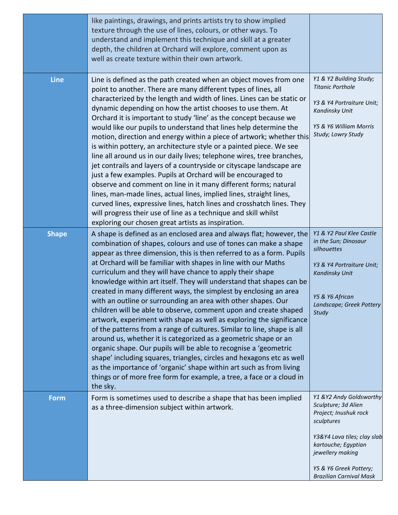|              | like paintings, drawings, and prints artists try to show implied<br>texture through the use of lines, colours, or other ways. To<br>understand and implement this technique and skill at a greater<br>depth, the children at Orchard will explore, comment upon as<br>well as create texture within their own artwork.                                                                                                                                                                                                                                                                                                                                                                                                                                                                                                                                                                                                                                                                                                                                                                                                                                            |                                                                                                                                                                                                                              |
|--------------|-------------------------------------------------------------------------------------------------------------------------------------------------------------------------------------------------------------------------------------------------------------------------------------------------------------------------------------------------------------------------------------------------------------------------------------------------------------------------------------------------------------------------------------------------------------------------------------------------------------------------------------------------------------------------------------------------------------------------------------------------------------------------------------------------------------------------------------------------------------------------------------------------------------------------------------------------------------------------------------------------------------------------------------------------------------------------------------------------------------------------------------------------------------------|------------------------------------------------------------------------------------------------------------------------------------------------------------------------------------------------------------------------------|
| <b>Line</b>  | Line is defined as the path created when an object moves from one<br>point to another. There are many different types of lines, all<br>characterized by the length and width of lines. Lines can be static or<br>dynamic depending on how the artist chooses to use them. At<br>Orchard it is important to study 'line' as the concept because we<br>would like our pupils to understand that lines help determine the<br>motion, direction and energy within a piece of artwork; whether this<br>is within pottery, an architecture style or a painted piece. We see<br>line all around us in our daily lives; telephone wires, tree branches,<br>jet contrails and layers of a countryside or cityscape landscape are<br>just a few examples. Pupils at Orchard will be encouraged to<br>observe and comment on line in it many different forms; natural<br>lines, man-made lines, actual lines, implied lines, straight lines,<br>curved lines, expressive lines, hatch lines and crosshatch lines. They<br>will progress their use of line as a technique and skill whilst<br>exploring our chosen great artists as inspiration.                              | Y1 & Y2 Building Study;<br><b>Titanic Porthole</b><br>Y3 & Y4 Portraiture Unit;<br>Kandinsky Unit<br>Y5 & Y6 William Morris<br>Study; Lowry Study                                                                            |
| <b>Shape</b> | A shape is defined as an enclosed area and always flat; however, the<br>combination of shapes, colours and use of tones can make a shape<br>appear as three dimension, this is then referred to as a form. Pupils<br>at Orchard will be familiar with shapes in line with our Maths<br>curriculum and they will have chance to apply their shape<br>knowledge within art itself. They will understand that shapes can be<br>created in many different ways, the simplest by enclosing an area<br>with an outline or surrounding an area with other shapes. Our<br>children will be able to observe, comment upon and create shaped<br>artwork, experiment with shape as well as exploring the significance<br>of the patterns from a range of cultures. Similar to line, shape is all<br>around us, whether it is categorized as a geometric shape or an<br>organic shape. Our pupils will be able to recognise a 'geometric<br>shape' including squares, triangles, circles and hexagons etc as well<br>as the importance of 'organic' shape within art such as from living<br>things or of more free form for example, a tree, a face or a cloud in<br>the sky. | Y1 & Y2 Paul Klee Castle<br>in the Sun; Dinosaur<br>silhouettes<br>Y3 & Y4 Portraiture Unit;<br><b>Kandinsky Unit</b><br>Y5 & Y6 African<br>Landscape; Greek Pottery<br>Study                                                |
| <b>Form</b>  | Form is sometimes used to describe a shape that has been implied<br>as a three-dimension subject within artwork.                                                                                                                                                                                                                                                                                                                                                                                                                                                                                                                                                                                                                                                                                                                                                                                                                                                                                                                                                                                                                                                  | Y1 & Y2 Andy Goldsworthy<br>Sculpture; 3d Alien<br>Project; Inushuk rock<br>sculptures<br>Y3&Y4 Lava tiles; clay slab<br>kartouche; Egyptian<br>jewellery making<br>Y5 & Y6 Greek Pottery;<br><b>Brazilian Carnival Mask</b> |